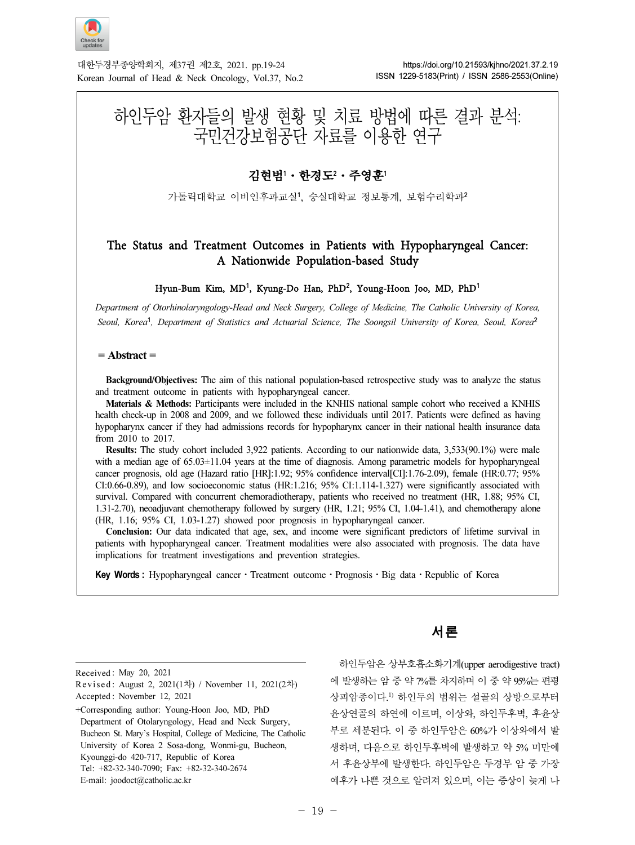

대한두경부종양학회지, 제37권 제2호, 2021. pp.19-24 Korean Journal of Head & Neck Oncology, Vol.37, No.2

# 하인두암 환자들의 발생 현황 및 치료 방법에 따른 결과 분석: 국민건강보험공단 자료를 이용한 연구

# 김현범' • 한경도' • 주영훈'

가톨릭대학교 이비인후과교실<sup>1</sup>, 숭실대학교 정보통계, 보험수리학과<sup>2</sup>

## The Status and Treatment Outcomes in Patients with Hypopharyngeal Cancer: A Nationwide Population-based Study

#### Hyun-Bum Kim, MD<sup>1</sup>, Kyung-Do Han, PhD<sup>2</sup>, Young-Hoon Joo, MD, PhD<sup>1</sup>

Department of Otorhinolaryngology-Head and Neck Surgery, College of Medicine, The Catholic University of Korea, Seoul, Korea<sup>1</sup>, Department of Statistics and Actuarial Science, The Soongsil University of Korea, Seoul, Korea<sup>2</sup>

 $=$  Abstract  $=$ 

Background/Objectives: The aim of this national population-based retrospective study was to analyze the status and treatment outcome in patients with hypopharyngeal cancer.

Materials & Methods: Participants were included in the KNHIS national sample cohort who received a KNHIS health check-up in 2008 and 2009, and we followed these individuals until 2017. Patients were defined as having hypopharynx cancer if they had admissions records for hypopharynx cancer in their national health insurance data from 2010 to 2017.

Results: The study cohort included 3,922 patients. According to our nationwide data, 3,533(90.1%) were male with a median age of 65.03 $\pm$ 11.04 years at the time of diagnosis. Among parametric models for hypopharyngeal cancer prognosis, old age (Hazard ratio [HR]:1.92; 95% confidence interval[CI]:1.76-2.09), female (HR:0.77; 95% CI:0.66-0.89), and low socioeconomic status (HR:1.216; 95% CI:1.114-1.327) were significantly associated with survival. Compared with concurrent chemoradiotherapy, patients who received no treatment (HR, 1.88; 95% CI, 1.31-2.70), neoadjuvant chemotherapy followed by surgery (HR, 1.21; 95% CI, 1.04-1.41), and chemotherapy alone (HR, 1.16; 95% CI, 1.03-1.27) showed poor prognosis in hypopharyngeal cancer.

Conclusion: Our data indicated that age, sex, and income were significant predictors of lifetime survival in patients with hypopharyngeal cancer. Treatment modalities were also associated with prognosis. The data have implications for treatment investigations and prevention strategies.

Key Words : Hypopharyngeal cancer⋅Treatment outcome⋅Prognosis⋅Big data⋅Republic of Korea

Received : May 20, 2021

Revised : August 2, 2021(1차) / November 11, 2021(2차) Accepted : November 12, 2021

+Corresponding author: Young-Hoon Joo, MD, PhD Department of Otolaryngology, Head and Neck Surgery, Bucheon St. Mary's Hospital, College of Medicine, The Catholic University of Korea 2 Sosa-dong, Wonmi-gu, Bucheon, Kyounggi-do 420-717, Republic of Korea Tel: +82-32-340-7090; Fax: +82-32-340-2674 E-mail: joodoct@catholic.ac.kr

# 서론

하인두암은 상부호흡소화기계(upper aerodigestive tract) 에 발생하는 암 중 약 7%를 차지하며 이 중 약 95%는 편평 상피암종이다. 1) 하인두의 범위는 설골의 상방으로부터 윤상연골의 하연에 이르며, 이상와, 하인두후벽, 후윤상 부로 세분된다. 이 중 하인두암은 60%가 이상와에서 발 생하며, 다음으로 하인두후벽에 발생하고 약 5% 미만에 서 후윤상부에 발생한다. 하인두암은 두경부 암 중 가장 예후가 나쁜 것으로 알려져 있으며, 이는 증상이 늦게 나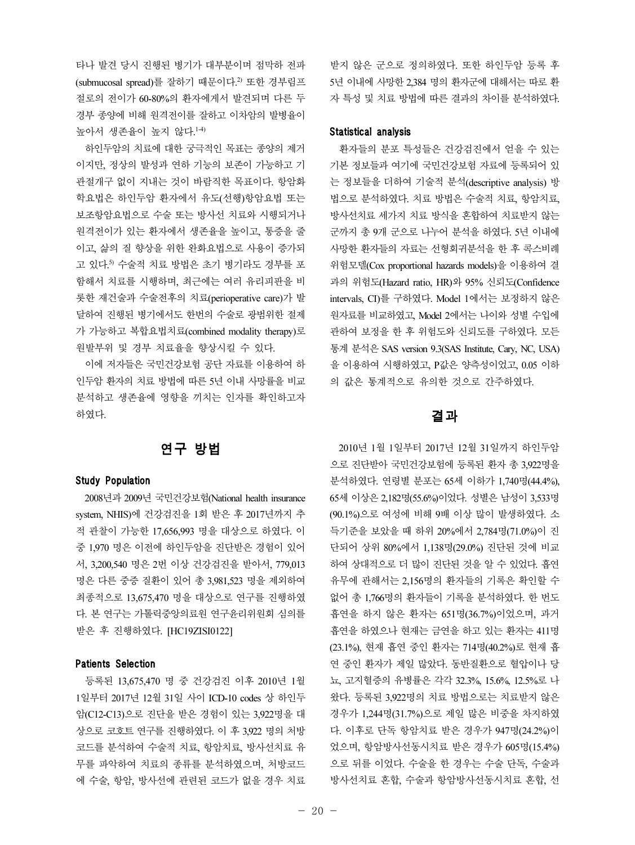타나 발견 당시 진행된 병기가 대부분이며 점막하 전파 (submucosal spread)를 잘하기 때문이다. 2) 또한 경부림프 절로의 전이가 60-80%의 환자에게서 발견되며 다른 두 경부 종양에 비해 원격전이를 잘하고 이차암의 발병율이 높아서 생존율이 높지 않다.14)

하인두암의 치료에 대한 궁극적인 목표는 종양의 제거 이지만, 정상의 발성과 연하 기능의 보존이 가능하고 기 관절개구 없이 지내는 것이 바람직한 목표이다. 항암화 학요법은 하인두암 환자에서 유도(선행)항암요법 또는 보조항암요법으로 수술 또는 방사선 치료와 시행되거나 원격전이가 있는 환자에서 생존율을 높이고, 통증을 줄 이고, 삶의 질 향상을 위한 완화요법으로 사용이 증가되 고 있다. 5) 수술적 치료 방법은 초기 병기라도 경부를 포 함해서 치료를 시행하며, 최근에는 여러 유리피판을 비 롯한 재건술과 수술전후의 치료(perioperative care)가 발 달하여 진행된 병기에서도 한번의 수술로 광범위한 절제 가 가능하고 복합요법치료(combined modality therapy)로 원발부위 및 경부 치료율을 향상시킬 수 있다.

이에 저자들은 국민건강보험 공단 자료를 이용하여 하 인두암 환자의 치료 방법에 따른 5년 이내 사망률을 비교 분석하고 생존율에 영향을 끼치는 인자를 확인하고자 하였다.

# 연구 방법

#### **Study Population**

2008년과 2009년 국민건강보험(National health insurance system, NHIS)에 건강검진을 1회 받은 후 2017년까지 추 적 관찰이 가능한 17,656,993 명을 대상으로 하였다. 이 중 1,970 명은 이전에 하인두암을 진단받은 경험이 있어 서, 3,200,540 명은 2번 이상 건강검진을 받아서, 779,013 명은 다른 중증 질환이 있어 총 3,981,523 명을 제외하여 최종적으로 13,675,470 명을 대상으로 연구를 진행하였 다. 본 연구는 가톨릭중앙의료원 연구윤리위원회 심의를 받은 후 진행하였다. [HC19ZISI0122]

#### Patients Selection

등록된 13,675,470 명 중 건강검진 이후 2010년 1월 1일부터 2017년 12월 31일 사이 ICD-10 codes 상 하인두 암(C12-C13)으로 진단을 받은 경험이 있는 3,922명을 대 상으로 코호트 연구를 진행하였다. 이 후 3,922 명의 처방 코드를 분석하여 수술적 치료, 항암치료, 방사선치료 유 무를 파악하여 치료의 종류를 분석하였으며, 처방코드 에 수술, 항암, 방사선에 관련된 코드가 없을 경우 치료 받지 않은 군으로 정의하였다. 또한 하인두암 등록 후 5년 이내에 사망한 2,384 명의 환자군에 대해서는 따로 환 자 특성 및 치료 방법에 따른 결과의 차이를 분석하였다.

#### Statistical analysis

환자들의 분포 특성들은 건강검진에서 얻을 수 있는 기본 정보들과 여기에 국민건강보험 자료에 등록되어 있 는 정보들을 더하여 기술적 분석(descriptive analysis) 방 법으로 분석하였다. 치료 방법은 수술적 치료, 항암치료, 방사선치료 세가지 치료 방식을 혼합하여 치료받지 않는 군까지 총 9개 군으로 나누어 분석을 하였다. 5년 이내에 사망한 환자들의 자료는 선형회귀분석을 한 후 콕스비례 위험모델(Cox proportional hazards models)을 이용하여 결 과의 위험도(Hazard ratio, HR)와 95% 신뢰도(Confidence intervals, CI)를 구하였다. Model 1에서는 보정하지 않은 원자료를 비교하였고, Model 2에서는 나이와 성별 수입에 관하여 보정을 한 후 위험도와 신뢰도를 구하였다. 모든 통계 분석은 SAS version 9.3(SAS Institute, Cary, NC, USA) 을 이용하여 시행하였고, P값은 양측성이었고, 0.05 이하 의 값은 통계적으로 유의한 것으로 간주하였다.

### 결과

2010년 1월 1일부터 2017년 12월 31일까지 하인두암 으로 진단받아 국민건강보험에 등록된 환자 총 3,922명을 분석하였다. 연령별 분포는 65세 이하가 1,740명(44.4%), 65세 이상은 2,182명(55.6%)이었다. 성별은 남성이 3,533명 (90.1%)으로 여성에 비해 9배 이상 많이 발생하였다. 소 득기준을 보았을 때 하위 20%에서 2,784명(71.0%)이 진 단되어 상위 80%에서 1,138명(29.0%) 진단된 것에 비교 하여 상대적으로 더 많이 진단된 것을 알 수 있었다. 흡연 유무에 관해서는 2,156명의 환자들의 기록은 확인할 수 없어 총 1,766명의 환자들이 기록을 분석하였다. 한 번도 흡연을 하지 않은 환자는 651명(36.7%)이었으며, 과거 흡연을 하였으나 현재는 금연을 하고 있는 환자는 411명 (23.1%), 현재 흡연 중인 환자는 714명(40.2%)로 현재 흡 연 중인 환자가 제일 많았다. 동반질환으로 혈압이나 당 뇨, 고지혈증의 유병률은 각각 32.3%, 15.6%, 12.5%로 나 왔다. 등록된 3,922명의 치료 방법으로는 치료받지 않은 경우가 1,244명(31.7%)으로 제일 많은 비중을 차지하였 다. 이후로 단독 항암치료 받은 경우가 947명(24.2%)이 었으며, 항암방사선동시치료 받은 경우가 605명(15.4%) 으로 뒤를 이었다. 수술을 한 경우는 수술 단독, 수술과 방사선치료 혼합, 수술과 항암방사선동시치료 혼합, 선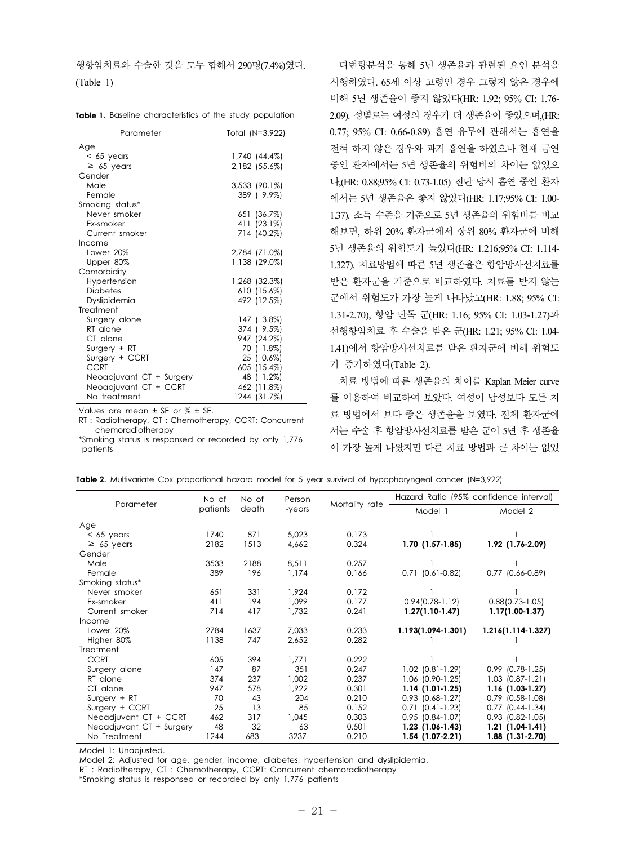행항암치료와 수술한 것을 모두 합해서 290명(7.4%)였다. (Table 1)

|  | <b>Table 1.</b> Baseline characteristics of the study population |  |  |
|--|------------------------------------------------------------------|--|--|
|  |                                                                  |  |  |

| Parameter                | Total (N=3,922) |  |  |  |
|--------------------------|-----------------|--|--|--|
| Age                      |                 |  |  |  |
| $< 65$ years             | 1,740 (44.4%)   |  |  |  |
| $\geq$ 65 years          | 2,182 (55.6%)   |  |  |  |
| Gender                   |                 |  |  |  |
| Male                     | 3,533 (90.1%)   |  |  |  |
| Female                   | 389 ( 9.9%)     |  |  |  |
| Smoking status*          |                 |  |  |  |
| Never smoker             | 651 (36.7%)     |  |  |  |
| Ex-smoker                | 411 (23.1%)     |  |  |  |
| Current smoker           | 714 (40.2%)     |  |  |  |
| Income                   |                 |  |  |  |
| Lower 20%                | 2,784 (71.0%)   |  |  |  |
| Upper 80%                | 1,138 (29.0%)   |  |  |  |
| Comorbidity              |                 |  |  |  |
| Hypertension             | 1,268 (32.3%)   |  |  |  |
| <b>Diabetes</b>          | 610 (15.6%)     |  |  |  |
| Dyslipidemia             | 492 (12.5%)     |  |  |  |
| Treatment                |                 |  |  |  |
| Surgery alone            | 147 (3.8%)      |  |  |  |
| RT alone                 | 374 ( 9.5%)     |  |  |  |
| CT alone                 | 947 (24.2%)     |  |  |  |
| Surgery + RT             | 70 ( 1.8%)      |  |  |  |
| Surgery + CCRT           | 25 ( 0.6%)      |  |  |  |
| CCRT                     | 605 (15.4%)     |  |  |  |
| Neoadjuvant CT + Surgery | 48 ( 1.2%)      |  |  |  |
| Neoadjuvant CT + CCRT    | 462 (11.8%)     |  |  |  |
| No treatment             | 1244 (31.7%)    |  |  |  |

Values are mean ± SE or % ± SE.

RT : Radiotherapy, CT : Chemotherapy, CCRT: Concurrent chemoradiotherapy

\*Smoking status is responsed or recorded by only 1,776 patients

다변량분석을 통해 5년 생존율과 관련된 요인 분석을 시행하였다. 65세 이상 고령인 경우 그렇지 않은 경우에 비해 5년 생존율이 좋지 않았다(HR: 1.92; 95% CI: 1.76- 2.09). 성별로는 여성의 경우가 더 생존율이 좋았으며,(HR: 0.77; 95% CI: 0.66-0.89) 흡연 유무에 관해서는 흡연을 전혀 하지 않은 경우와 과거 흡연을 하였으나 현재 금연 중인 환자에서는 5년 생존율의 위험비의 차이는 없었으 나,(HR: 0.88;95% CI: 0.73-1.05) 진단 당시 흡연 중인 환자 에서는 5년 생존율은 좋지 않았다(HR: 1.17;95% CI: 1.00- 1.37). 소득 수준을 기준으로 5년 생존율의 위험비를 비교 해보면, 하위 20% 환자군에서 상위 80% 환자군에 비해 5년 생존율의 위험도가 높았다(HR: 1.216;95% CI: 1.114- 1.327). 치료방법에 따른 5년 생존율은 항암방사선치료를 받은 환자군을 기준으로 비교하였다. 치료를 받지 않는 군에서 위험도가 가장 높게 나타났고(HR: 1.88; 95% CI: 1.31-2.70), 항암 단독 군(HR: 1.16; 95% CI: 1.03-1.27)과 선행항암치료 후 수술을 받은 군(HR: 1.21; 95% CI: 1.04- 1.41)에서 항암방사선치료를 받은 환자군에 비해 위험도 가 증가하였다(Table 2).

치료 방법에 따른 생존율의 차이를 Kaplan Meier curve 를 이용하여 비교하여 보았다. 여성이 남성보다 모든 치 료 방법에서 보다 좋은 생존율을 보였다. 전체 환자군에 서는 수술 후 항암방사선치료를 받은 군이 5년 후 생존율 이 가장 높게 나왔지만 다른 치료 방법과 큰 차이는 없었

| Table 2. Multivariate Cox proportional hazard model for 5 year survival of hypopharyngeal cancer (N=3,922) |  |
|------------------------------------------------------------------------------------------------------------|--|
|------------------------------------------------------------------------------------------------------------|--|

| Parameter                | No of<br>patients | No of<br>death | Person<br>-years | Mortality rate | Hazard Ratio (95% confidence interval) |                        |
|--------------------------|-------------------|----------------|------------------|----------------|----------------------------------------|------------------------|
|                          |                   |                |                  |                | Model 1                                | Model 2                |
| Age                      |                   |                |                  |                |                                        |                        |
| $< 65$ years             | 1740              | 871            | 5,023            | 0.173          |                                        |                        |
| $\geq$ 65 years          | 2182              | 1513           | 4,662            | 0.324          | $1.70(1.57-1.85)$                      | 1.92 (1.76-2.09)       |
| Gender                   |                   |                |                  |                |                                        |                        |
| Male                     | 3533              | 2188           | 8,511            | 0.257          |                                        |                        |
| Female                   | 389               | 196            | 1,174            | 0.166          | $0.71$ $(0.61 - 0.82)$                 | $0.77$ $(0.66 - 0.89)$ |
| Smoking status*          |                   |                |                  |                |                                        |                        |
| Never smoker             | 651               | 331            | 1.924            | 0.172          |                                        |                        |
| Ex-smoker                | 411               | 194            | 1,099            | 0.177          | $0.94(0.78-1.12)$                      | $0.88(0.73 - 1.05)$    |
| Current smoker           | 714               | 417            | 1,732            | 0.241          | $1.27(1.10-1.47)$                      | 1.17(1.00-1.37)        |
| Income                   |                   |                |                  |                |                                        |                        |
| Lower 20%                | 2784              | 1637           | 7,033            | 0.233          | 1.193(1.094-1.301)                     | 1.216(1.114-1.327)     |
| Higher 80%               | 1138              | 747            | 2,652            | 0.282          |                                        |                        |
| Treatment                |                   |                |                  |                |                                        |                        |
| <b>CCRT</b>              | 605               | 394            | 1,771            | 0.222          |                                        |                        |
| Surgery alone            | 147               | 87             | 351              | 0.247          | $1.02$ $(0.81-1.29)$                   | $0.99$ $(0.78-1.25)$   |
| RT alone                 | 374               | 237            | 1,002            | 0.237          | 1.06 (0.90-1.25)                       | $1.03$ $(0.87 - 1.21)$ |
| CT alone                 | 947               | 578            | 1,922            | 0.301          | $1.14(1.01-1.25)$                      | $1.16$ (1.03-1.27)     |
| $Surgery + RT$           | 70                | 43             | 204              | 0.210          | $0.93$ $(0.68-1.27)$                   | $0.79$ $(0.58-1.08)$   |
| Surgery + CCRT           | 25                | 13             | 85               | 0.152          | $0.71$ $(0.41-1.23)$                   | $0.77$ $(0.44-1.34)$   |
| Neoadjuvant CT + CCRT    | 462               | 317            | 1.045            | 0.303          | $0.95$ $(0.84-1.07)$                   | $0.93$ $(0.82 - 1.05)$ |
| Neoadjuvant CT + Surgery | 48                | 32             | 63               | 0.501          | $1.23$ (1.06-1.43)                     | $1.21(1.04-1.41)$      |
| No Treatment             | 1244              | 683            | 3237             | 0.210          | 1.54 (1.07-2.21)                       | 1.88 (1.31-2.70)       |

Model 1: Unadjusted.

Model 2: Adjusted for age, gender, income, diabetes, hypertension and dyslipidemia.

RT : Radiotherapy, CT : Chemotherapy, CCRT: Concurrent chemoradiotherapy

\*Smoking status is responsed or recorded by only 1,776 patients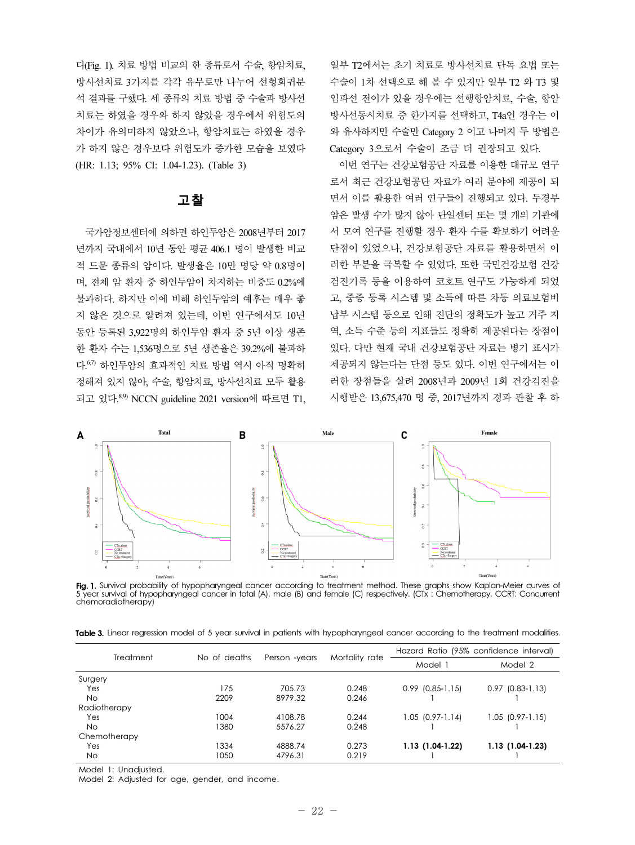다(Fig. 1). 치료 방법 비교의 한 종류로서 수술, 항암치료, 방사선치료 3가지를 각각 유무로만 나누어 선형회귀분 석 결과를 구했다. 세 종류의 치료 방법 중 수술과 방사선 치료는 하였을 경우와 하지 않았을 경우에서 위험도의 차이가 유의미하지 않았으나, 항암치료는 하였을 경우 가 하지 않은 경우보다 위험도가 증가한 모습을 보였다 (HR: 1.13; 95% CI: 1.04-1.23). (Table 3)

## 고찰

국가암정보센터에 의하면 하인두암은 2008년부터 2017 년까지 국내에서 10년 동안 평균 406.1 명이 발생한 비교 적 드문 종류의 암이다. 발생율은 10만 명당 약 0.8명이 며, 전체 암 환자 중 하인두암이 차지하는 비중도 0.2%에 불과하다. 하지만 이에 비해 하인두암의 예후는 매우 좋 지 않은 것으로 알려져 있는데, 이번 연구에서도 10년 동안 등록된 3,922명의 하인두암 환자 중 5년 이상 생존 한 환자 수는 1,536명으로 5년 생존율은 39.2%에 불과하 다. 6,7) 하인두암의 효과적인 치료 방법 역시 아직 명확히 정해져 있지 않아, 수술, 항암치료, 방사선치료 모두 활용 되고 있다. 8,9) NCCN guideline 2021 version에 따르면 T1,

일부 T2에서는 초기 치료로 방사선치료 단독 요법 또는 수술이 1차 선택으로 해 볼 수 있지만 일부 T2 와 T3 및 임파선 전이가 있을 경우에는 선행항암치료, 수술, 항암 방사선동시치료 중 한가지를 선택하고, T4a인 경우는 이 와 유사하지만 수술만 Category 2 이고 나머지 두 방법은 Category 3으로서 수술이 조금 더 권장되고 있다.

이번 연구는 건강보험공단 자료를 이용한 대규모 연구 로서 최근 건강보험공단 자료가 여러 분야에 제공이 되 면서 이를 활용한 여러 연구들이 진행되고 있다. 두경부 암은 발생 수가 많지 않아 단일센터 또는 몇 개의 기관에 서 모여 연구를 진행할 경우 환자 수를 확보하기 어려운 단점이 있었으나, 건강보험공단 자료를 활용하면서 이 러한 부분을 극복할 수 있었다. 또한 국민건강보험 건강 검진기록 등을 이용하여 코호트 연구도 가능하게 되었 고, 중증 등록 시스템 및 소득에 따른 차등 의료보험비 납부 시스템 등으로 인해 진단의 정확도가 높고 거주 지 역, 소득 수준 등의 지표들도 정확히 제공된다는 장점이 있다. 다만 현재 국내 건강보험공단 자료는 병기 표시가 제공되지 않는다는 단점 등도 있다. 이번 연구에서는 이 러한 장점들을 살려 2008년과 2009년 1회 건강검진을 시행받은 13,675,470 명 중, 2017년까지 경과 관찰 후 하



**Fig. 1.** Survival probability of hypopharyngeal cancer according to treatment method. These graphs show Kaplan-Meier curves of<br>5 year survival of hypopharyngeal cancer in total (A), male (B) and female (C) respectively. ( chemoradiotherapy)

Table 3. Linear regression model of 5 year survival in patients with hypopharyngeal cancer according to the treatment modalities.

| <b>Treatment</b> | No of deaths | Person -years | Mortality rate | Hazard Ratio (95% confidence interval) |                        |
|------------------|--------------|---------------|----------------|----------------------------------------|------------------------|
|                  |              |               |                | Model 1                                | Model 2                |
| Surgery          |              |               |                |                                        |                        |
| Yes              | 175          | 705.73        | 0.248          | $0.99$ $(0.85 - 1.15)$                 | $0.97$ $(0.83 - 1.13)$ |
| <b>No</b>        | 2209         | 8979.32       | 0.246          |                                        |                        |
| Radiotherapy     |              |               |                |                                        |                        |
| Yes              | 1004         | 4108.78       | 0.244          | $1.05$ $(0.97 - 1.14)$                 | 1.05 (0.97-1.15)       |
| <b>No</b>        | 1380         | 5576.27       | 0.248          |                                        |                        |
| Chemotherapy     |              |               |                |                                        |                        |
| Yes              | 1334         | 4888.74       | 0.273          | $1.13(1.04-1.22)$                      | 1.13 (1.04-1.23)       |
| <b>No</b>        | 1050         | 4796.31       | 0.219          |                                        |                        |

Model 1: Unadjusted.

Model 2: Adjusted for age, gender, and income.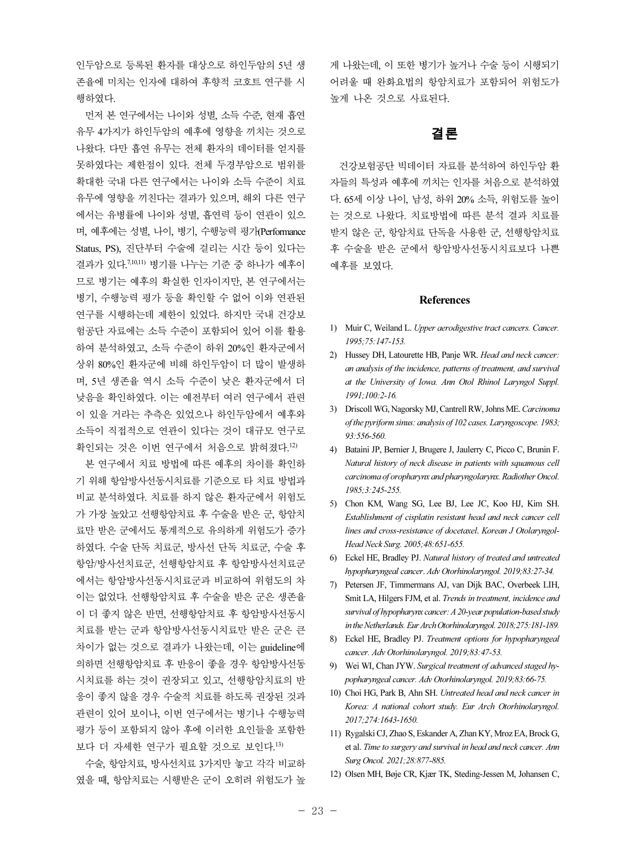인두암으로 등록된 환자를 대상으로 하인두암의 5년 생 존율에 미치는 인자에 대하여 후향적 코호트 연구를 시 행하였다.

먼저 본 연구에서는 나이와 성별, 소득 수준, 현재 흡연 유무 4가지가 하인두암의 예후에 영향을 끼치는 것으로 나왔다. 다만 흡연 유무는 전체 환자의 데이터를 얻지를 못하였다는 제한점이 있다. 전체 두경부암으로 범위를 확대한 국내 다른 연구에서는 나이와 소득 수준이 치료 유무에 영향을 끼친다는 결과가 있으며, 해외 다른 연구 에서는 유병률에 나이와 성별, 흡연력 등이 연관이 있으 며, 예후에는 성별, 나이, 병기, 수행능력 평가(Performance Status, PS), 진단부터 수술에 걸리는 시간 등이 있다는 결과가 있다. 7,10,11) 병기를 나누는 기준 중 하나가 예후이 므로 병기는 예후의 확실한 인자이지만, 본 연구에서는 병기, 수행능력 평가 등을 확인할 수 없어 이와 연관된 연구를 시행하는데 제한이 있었다. 하지만 국내 건강보 험공단 자료에는 소득 수준이 포함되어 있어 이를 활용 하여 분석하였고, 소득 수준이 하위 20%인 환자군에서 상위 80%인 환자군에 비해 하인두암이 더 많이 발생하 며, 5년 생존율 역시 소득 수준이 낮은 환자군에서 더 낮음을 확인하였다. 이는 예전부터 여러 연구에서 관련 이 있을 거라는 추측은 있었으나 하인두암에서 예후와 소득이 직접적으로 연관이 있다는 것이 대규모 연구로 확인되는 것은 이번 연구에서 처음으로 밝혀졌다. 12)

본 연구에서 치료 방법에 따른 예후의 차이를 확인하 기 위해 항암방사선동시치료를 기준으로 타 치료 방법과 비교 분석하였다. 치료를 하지 않은 환자군에서 위험도 가 가장 높았고 선행항암치료 후 수술을 받은 군, 항암치 료만 받은 군에서도 통계적으로 유의하게 위험도가 증가 하였다. 수술 단독 치료군, 방사선 단독 치료군, 수술 후 항암/방사선치료군, 선행항암치료 후 항암방사선치료군 에서는 항암방사선동시치료군과 비교하여 위험도의 차 이는 없었다. 선행항암치료 후 수술을 받은 군은 생존율 이 더 좋지 않은 반면, 선행항암치료 후 항암방사선동시 치료를 받는 군과 항암방사선동시치료만 받은 군은 큰 차이가 없는 것으로 결과가 나왔는데, 이는 guideline에 의하면 선행항암치료 후 반응이 좋을 경우 항암방사선동 시치료를 하는 것이 권장되고 있고, 선행항암치료의 반 응이 좋지 않을 경우 수술적 치료를 하도록 권장된 것과 관련이 있어 보이나, 이번 연구에서는 병기나 수행능력 평가 등이 포함되지 않아 후에 이러한 요인들을 포함한 보다 더 자세한 연구가 필요할 것으로 보인다. 13)

수술, 항암치료, 방사선치료 3가지만 놓고 각각 비교하 였을 때, 항암치료는 시행받은 군이 오히려 위험도가 높 게 나왔는데, 이 또한 병기가 높거나 수술 등이 시행되기 어려울 때 완화요법의 항암치료가 포함되어 위험도가 높게 나온 것으로 사료된다.

## 결론

건강보험공단 빅데이터 자료를 분석하여 하인두암 환 자들의 특성과 예후에 끼치는 인자를 처음으로 분석하였 다. 65세 이상 나이, 남성, 하위 20% 소득, 위험도를 높이 는 것으로 나왔다. 치료방법에 따른 분석 결과 치료를 받지 않은 군, 항암치료 단독을 사용한 군, 선행항암치료 후 수술을 받은 군에서 항암방사선동시치료보다 나쁜 예후를 보였다.

#### **References**

- 1) Muir C, Weiland L. Upper aerodigestive tract cancers. Cancer. 1995;75:147-153.
- 2) Hussey DH, Latourette HB, Panje WR. Head and neck cancer: an analysis of the incidence, patterns of treatment, and survival at the University of Iowa. Ann Otol Rhinol Laryngol Suppl. 1991;100:2-16.
- 3) Driscoll WG, Nagorsky MJ, Cantrell RW, Johns ME. Carcinoma of the pyriform sinus: analysis of 102 cases. Laryngoscope. 1983; 93:556-560.
- 4) Bataini JP, Bernier J, Brugere J, Jaulerry C, Picco C, Brunin F. Natural history of neck disease in patients with squamous cell carcinoma of oropharynx and pharyngolarynx. Radiother Oncol. 1985;3:245-255.
- 5) Chon KM, Wang SG, Lee BJ, Lee JC, Koo HJ, Kim SH. Establishment of cisplatin resistant head and neck cancer cell lines and cross-resistance of docetaxel. Korean J Otolaryngol-Head Neck Surg. 2005;48:651-655.
- 6) Eckel HE, Bradley PJ. Natural history of treated and untreated hypopharyngeal cancer. Adv Otorhinolaryngol. 2019;83:27-34.
- 7) Petersen JF, Timmermans AJ, van Dijk BAC, Overbeek LIH, Smit LA, Hilgers FJM, et al. Trends in treatment, incidence and survival of hypopharynx cancer: A 20-year population-based study in the Netherlands. Eur Arch Otorhinolaryngol. 2018;275:181-189.
- 8) Eckel HE, Bradley PJ. Treatment options for hypopharyngeal cancer. Adv Otorhinolaryngol. 2019;83:47-53.
- 9) Wei WI, Chan JYW. Surgical treatment of advanced staged hypopharyngeal cancer. Adv Otorhinolaryngol. 2019;83:66-75.
- 10) Choi HG, Park B, Ahn SH. Untreated head and neck cancer in Korea: A national cohort study. Eur Arch Otorhinolaryngol. 2017;274:1643-1650.
- 11) Rygalski CJ, Zhao S, Eskander A, Zhan KY, Mroz EA, Brock G, et al. Time to surgery and survival in head and neck cancer. Ann Surg Oncol. 2021;28:877-885.
- 12) Olsen MH, Bøje CR, Kjær TK, Steding-Jessen M, Johansen C,